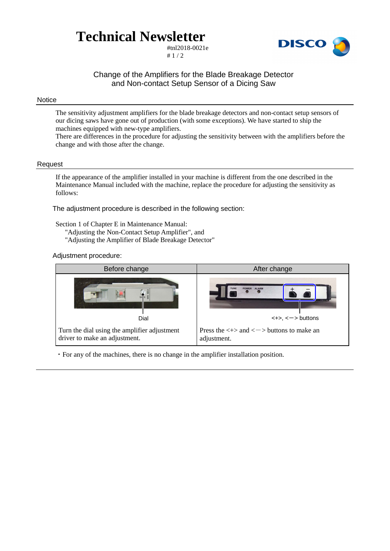# **Technical Newsletter**

#tnl2018-0021e  $# 1 / 2$ 



## Change of the Amplifiers for the Blade Breakage Detector and Non-contact Setup Sensor of a Dicing Saw

#### Notice

The sensitivity adjustment amplifiers for the blade breakage detectors and non-contact setup sensors of our dicing saws have gone out of production (with some exceptions). We have started to ship the machines equipped with new-type amplifiers.

There are differences in the procedure for adjusting the sensitivity between with the amplifiers before the change and with those after the change.

#### Request

If the appearance of the amplifier installed in your machine is different from the one described in the Maintenance Manual included with the machine, replace the procedure for adjusting the sensitivity as follows:

The adjustment procedure is described in the following section:

Section 1 of Chapter E in Maintenance Manual: "Adjusting the Non-Contact Setup Amplifier", and "Adjusting the Amplifier of Blade Breakage Detector"

#### Adjustment procedure:



・For any of the machines, there is no change in the amplifier installation position.